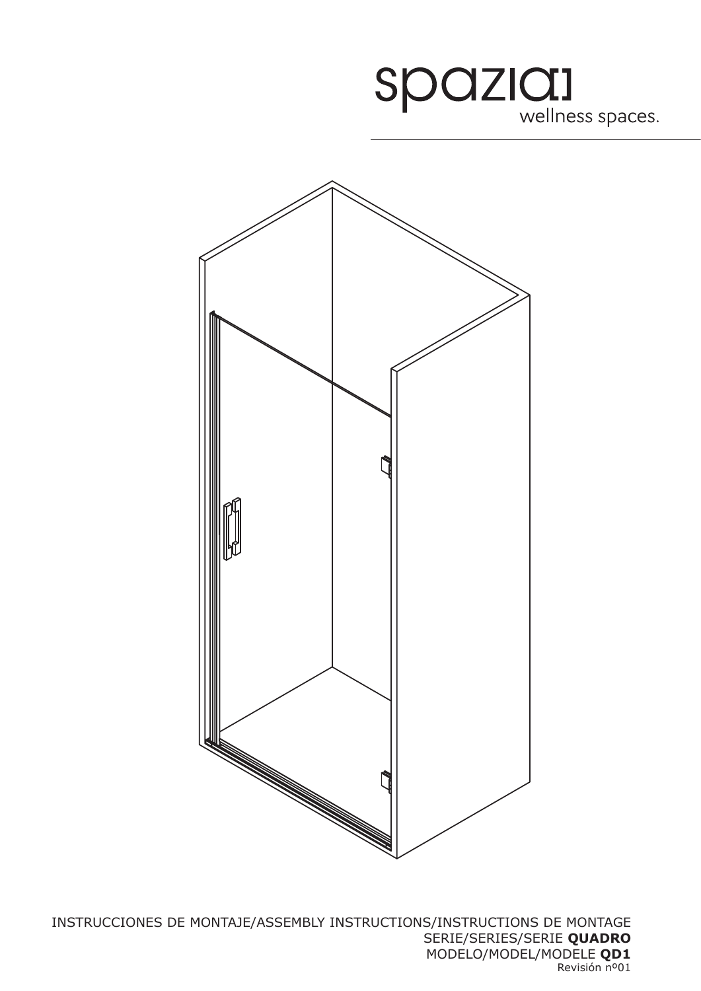

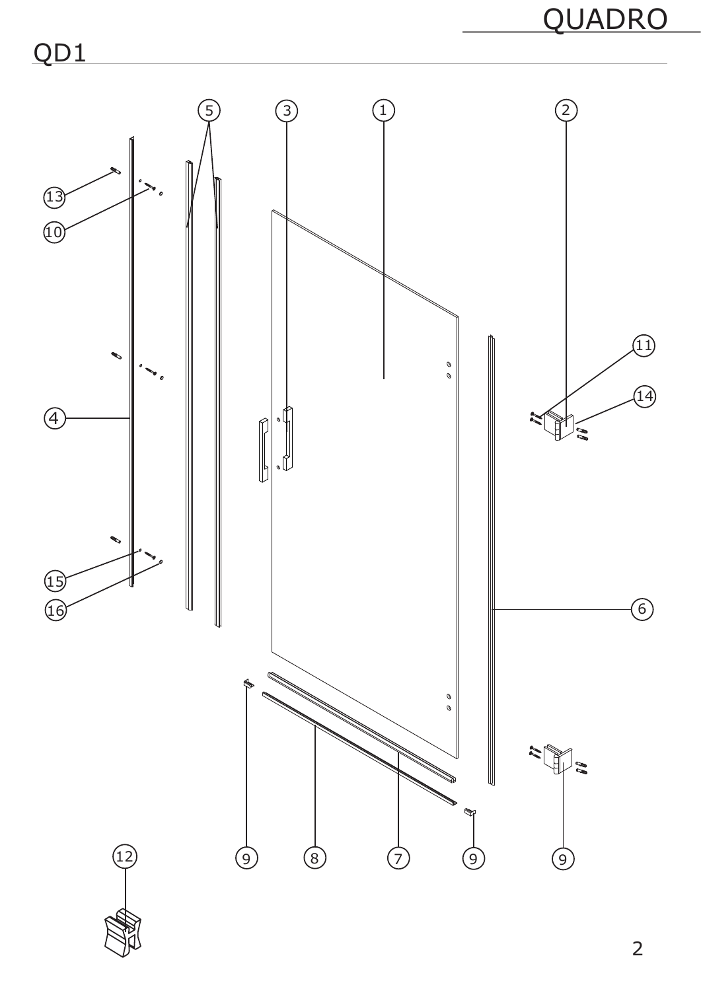

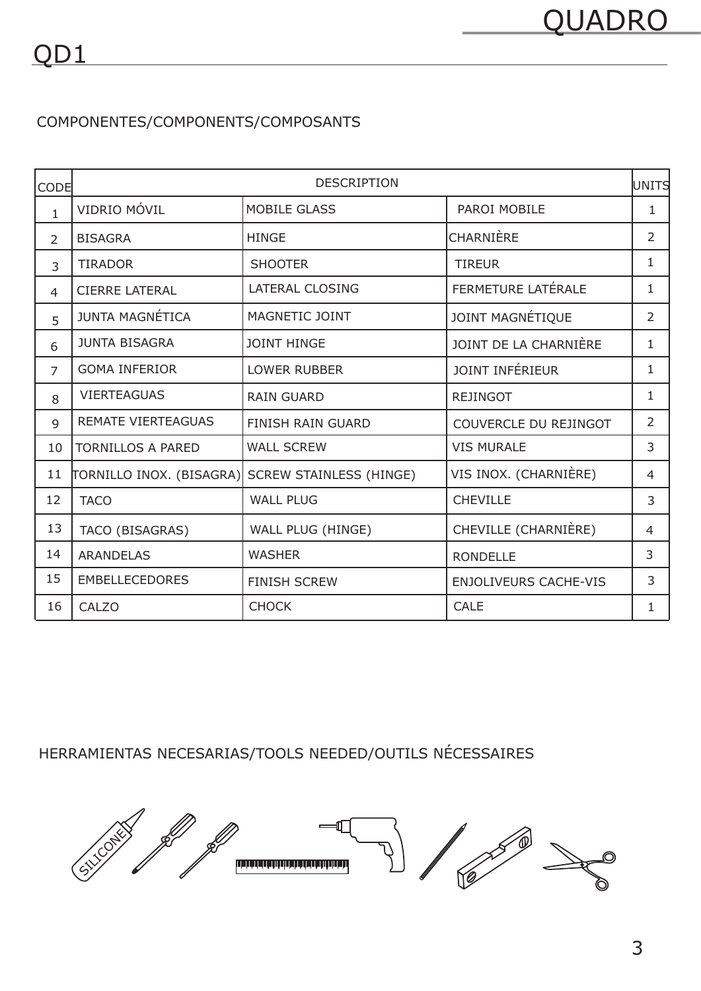## COMPONENTES/COMPONENTS/COMPOSANTS

| <b>CODE</b>    | <b>DESCRIPTION</b>        |                                |                              | lunits         |
|----------------|---------------------------|--------------------------------|------------------------------|----------------|
| $\mathbf{1}$   | VIDRIO MÓVIL              | <b>MOBILE GLASS</b>            | PAROI MOBILE                 | $\mathbf{1}$   |
| $\overline{2}$ | <b>BISAGRA</b>            | <b>HINGE</b>                   | CHARNIÈRE                    | $\overline{2}$ |
| 3              | <b>TIRADOR</b>            | <b>SHOOTER</b>                 | <b>TIREUR</b>                | $\mathbf{1}$   |
| 4              | <b>CIERRE LATERAL</b>     | <b>LATERAL CLOSING</b>         | FERMETURE LATÉRALE           | $\mathbf 1$    |
| 5              | JUNTA MAGNÉTICA           | MAGNETIC JOINT                 | JOINT MAGNÉTIQUE             | $\overline{2}$ |
| 6              | <b>JUNTA BISAGRA</b>      | <b>JOINT HINGE</b>             | JOINT DE LA CHARNIÈRE        | 1              |
| $\overline{7}$ | <b>GOMA INFERIOR</b>      | <b>LOWER RUBBER</b>            | JOINT INFÉRIEUR              | 1              |
| 8              | <b>VIERTEAGUAS</b>        | <b>RAIN GUARD</b>              | <b>REJINGOT</b>              | $\mathbf{1}$   |
| 9              | <b>REMATE VIERTEAGUAS</b> | <b>FINISH RAIN GUARD</b>       | COUVERCLE DU REJINGOT        | $\overline{2}$ |
| 10             | <b>TORNILLOS A PARED</b>  | <b>WALL SCREW</b>              | <b>VIS MURALE</b>            | 3              |
| 11             | TORNILLO INOX. (BISAGRA)  | <b>SCREW STAINLESS (HINGE)</b> | VIS INOX. (CHARNIÈRE)        | $\overline{4}$ |
| 12             | <b>TACO</b>               | <b>WALL PLUG</b>               | <b>CHEVILLE</b>              | 3              |
| 13             | TACO (BISAGRAS)           | WALL PLUG (HINGE)              | CHEVILLE (CHARNIÈRE)         | 4              |
| 14             | <b>ARANDELAS</b>          | <b>WASHER</b>                  | <b>RONDELLE</b>              | 3              |
| 15             | <b>EMBELLECEDORES</b>     | <b>FINISH SCREW</b>            | <b>ENJOLIVEURS CACHE-VIS</b> | 3              |
| 16             | CALZO                     | <b>CHOCK</b>                   | <b>CALE</b>                  | 1              |

HERRAMIENTAS NECESARIAS/TOOLS NEEDED/OUTILS NÉCESSAIRES

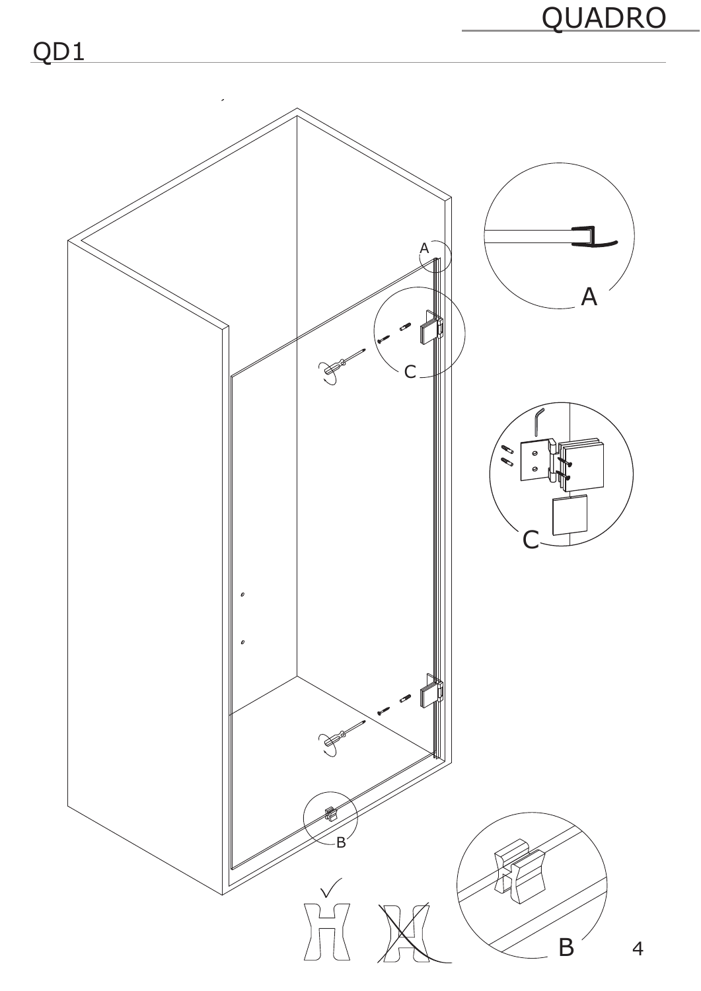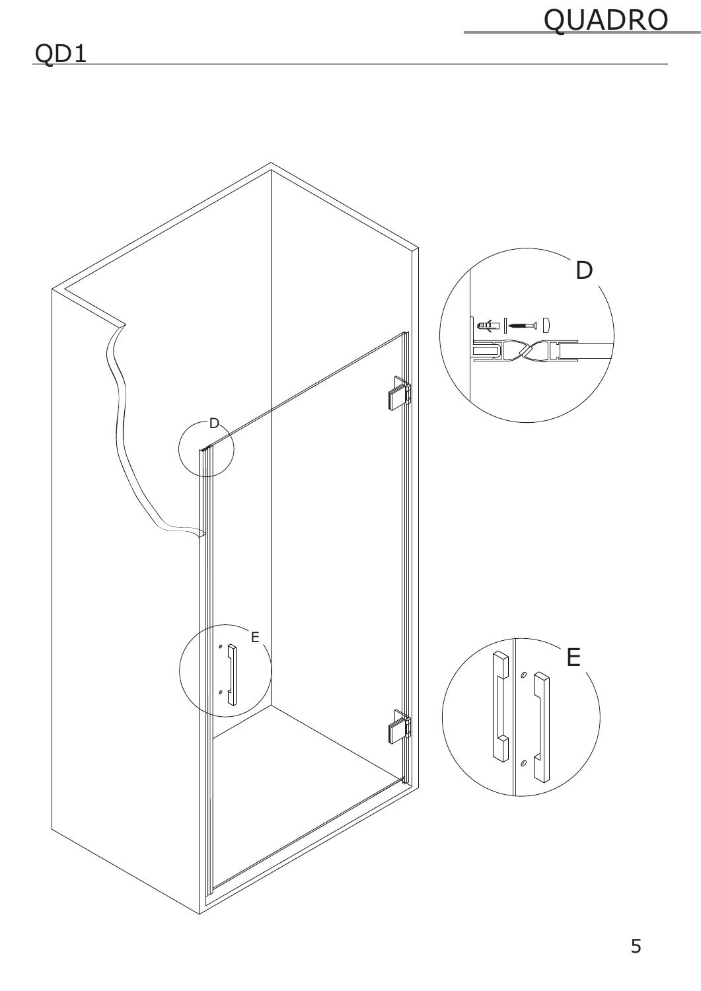